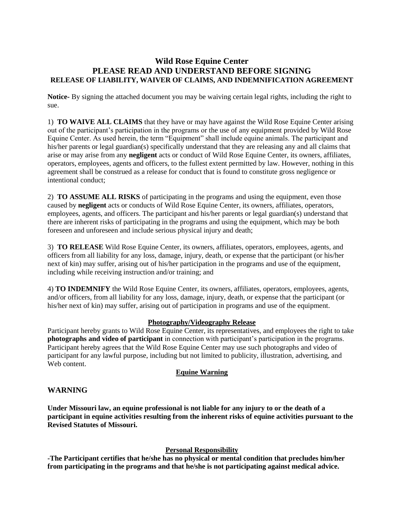# **Wild Rose Equine Center PLEASE READ AND UNDERSTAND BEFORE SIGNING RELEASE OF LIABILITY, WAIVER OF CLAIMS, AND INDEMNIFICATION AGREEMENT**

**Notice-** By signing the attached document you may be waiving certain legal rights, including the right to sue.

1) **TO WAIVE ALL CLAIMS** that they have or may have against the Wild Rose Equine Center arising out of the participant's participation in the programs or the use of any equipment provided by Wild Rose Equine Center. As used herein, the term "Equipment" shall include equine animals. The participant and his/her parents or legal guardian(s) specifically understand that they are releasing any and all claims that arise or may arise from any **negligent** acts or conduct of Wild Rose Equine Center, its owners, affiliates, operators, employees, agents and officers, to the fullest extent permitted by law. However, nothing in this agreement shall be construed as a release for conduct that is found to constitute gross negligence or intentional conduct;

2) **TO ASSUME ALL RISKS** of participating in the programs and using the equipment, even those caused by **negligent** acts or conducts of Wild Rose Equine Center, its owners, affiliates, operators, employees, agents, and officers. The participant and his/her parents or legal guardian(s) understand that there are inherent risks of participating in the programs and using the equipment, which may be both foreseen and unforeseen and include serious physical injury and death;

3) **TO RELEASE** Wild Rose Equine Center, its owners, affiliates, operators, employees, agents, and officers from all liability for any loss, damage, injury, death, or expense that the participant (or his/her next of kin) may suffer, arising out of his/her participation in the programs and use of the equipment, including while receiving instruction and/or training; and

4) **TO INDEMNIFY** the Wild Rose Equine Center, its owners, affiliates, operators, employees, agents, and/or officers, from all liability for any loss, damage, injury, death, or expense that the participant (or his/her next of kin) may suffer, arising out of participation in programs and use of the equipment.

## **Photography/Videography Release**

Participant hereby grants to Wild Rose Equine Center, its representatives, and employees the right to take **photographs and video of participant** in connection with participant's participation in the programs. Participant hereby agrees that the Wild Rose Equine Center may use such photographs and video of participant for any lawful purpose, including but not limited to publicity, illustration, advertising, and Web content.

## **Equine Warning**

## **WARNING**

**Under Missouri law, an equine professional is not liable for any injury to or the death of a participant in equine activities resulting from the inherent risks of equine activities pursuant to the Revised Statutes of Missouri.**

## **Personal Responsibility**

**-The Participant certifies that he/she has no physical or mental condition that precludes him/her from participating in the programs and that he/she is not participating against medical advice.**